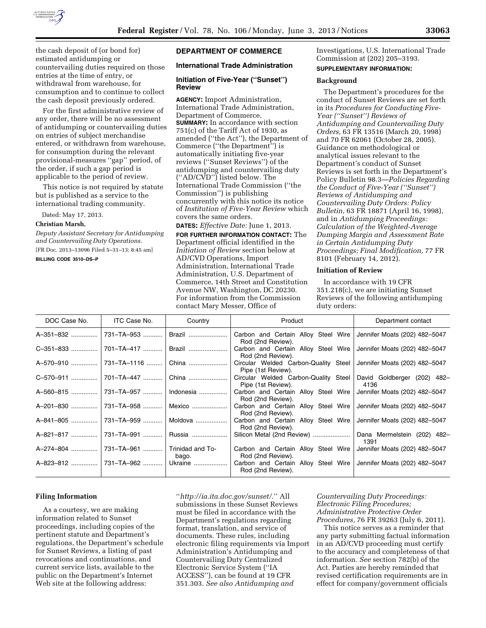

the cash deposit of (or bond for) estimated antidumping or countervailing duties required on those entries at the time of entry, or withdrawal from warehouse, for consumption and to continue to collect the cash deposit previously ordered.

For the first administrative review of any order, there will be no assessment of antidumping or countervailing duties on entries of subject merchandise entered, or withdrawn from warehouse, for consumption during the relevant provisional-measures ''gap'' period, of the order, if such a gap period is applicable to the period of review.

This notice is not required by statute but is published as a service to the international trading community.

Dated: May 17, 2013.

#### **Christian Marsh,**

*Deputy Assistant Secretary for Antidumping and Countervailing Duty Operations.*  [FR Doc. 2013–13096 Filed 5–31–13; 8:45 am]

**BILLING CODE 3510–DS–P** 

### **DEPARTMENT OF COMMERCE**

# **International Trade Administration**

### **Initiation of Five-Year (''Sunset'') Review**

**AGENCY:** Import Administration, International Trade Administration, Department of Commerce. **SUMMARY:** In accordance with section 751(c) of the Tariff Act of 1930, as amended (''the Act''), the Department of Commerce (''the Department'') is automatically initiating five-year reviews (''Sunset Reviews'') of the antidumping and countervailing duty (''AD/CVD'') listed below. The International Trade Commission (''the Commission'') is publishing concurrently with this notice its notice of *Institution of Five-Year Review* which covers the same orders.

**DATES:** *Effective Date:* June 1, 2013.

**FOR FURTHER INFORMATION CONTACT:** The Department official identified in the *Initiation of Review* section below at AD/CVD Operations, Import Administration, International Trade Administration, U.S. Department of Commerce, 14th Street and Constitution Avenue NW, Washington, DC 20230. For information from the Commission contact Mary Messer, Office of

Investigations, U.S. International Trade Commission at (202) 205–3193. **SUPPLEMENTARY INFORMATION:** 

#### **Background**

The Department's procedures for the conduct of Sunset Reviews are set forth in its *Procedures for Conducting Five-Year (''Sunset'') Reviews of Antidumping and Countervailing Duty Orders,* 63 FR 13516 (March 20, 1998) and 70 FR 62061 (October 28, 2005). Guidance on methodological or analytical issues relevant to the Department's conduct of Sunset Reviews is set forth in the Department's Policy Bulletin 98.3—*Policies Regarding the Conduct of Five-Year (''Sunset'') Reviews of Antidumping and Countervailing Duty Orders: Policy Bulletin,* 63 FR 18871 (April 16, 1998), and in *Antidumping Proceedings: Calculation of the Weighted-Average Dumping Margin and Assessment Rate in Certain Antidumping Duty Proceedings; Final Modification,* 77 FR 8101 (February 14, 2012).

### **Initiation of Review**

In accordance with 19 CFR 351.218(c), we are initiating Sunset Reviews of the following antidumping duty orders:

| DOC Case No.                   | ITC Case No.                 | Country   | Product                                                                                    | Department contact                  |
|--------------------------------|------------------------------|-----------|--------------------------------------------------------------------------------------------|-------------------------------------|
| A-351-832                      | 731-TA-953                   | Brazil    | Carbon and Certain Alloy Steel Wire<br>Rod (2nd Review).                                   | Jennifer Moats (202) 482-5047       |
| C-351-833                      | 701-TA-417                   | Brazil    | Carbon and Certain Alloy Steel Wire<br>Rod (2nd Review).                                   | Jennifer Moats (202) 482-5047       |
| A-570-910                      | 731–TA–1116    China         |           | Circular Welded Carbon-Quality Steel   Jennifer Moats (202) 482-5047<br>Pipe (1st Review). |                                     |
| C-570-911                      | 701-TA-447                   | China     | Circular Welded Carbon-Quality Steel<br>Pipe (1st Review).                                 | David Goldberger (202) 482-<br>4136 |
| A-560-815                      | _731–TA–957 ………… ∣           | Indonesia | Carbon and Certain Alloy Steel Wire<br>Rod (2nd Review).                                   | Jennifer Moats (202) 482-5047       |
| A-201-830                      | 731–TA–958    Mexico         |           | Carbon and Certain Alloy Steel Wire<br>Rod (2nd Review).                                   | Jennifer Moats (202) 482-5047       |
|                                |                              | Moldova   | Carbon and Certain Alloy Steel Wire<br>Rod (2nd Review).                                   | Jennifer Moats (202) 482-5047       |
|                                |                              | Russia    |                                                                                            | Dana Mermelstein (202) 482-<br>1391 |
|                                | 731–TA–961  Trinidad and To- | bago.     | Carbon and Certain Alloy Steel Wire<br>Rod (2nd Review).                                   | Jennifer Moats (202) 482-5047       |
| A-823-812  731-TA-962  Ukraine |                              |           | Carbon and Certain Alloy Steel Wire<br>Rod (2nd Review).                                   | Jennifer Moats (202) 482-5047       |

#### **Filing Information**

As a courtesy, we are making information related to Sunset proceedings, including copies of the pertinent statute and Department's regulations, the Department's schedule for Sunset Reviews, a listing of past revocations and continuations, and current service lists, available to the public on the Department's Internet Web site at the following address:

''*[http://ia.ita.doc.gov/sunset/.](http://ia.ita.doc.gov/sunset/)*'' All submissions in these Sunset Reviews must be filed in accordance with the Department's regulations regarding format, translation, and service of documents. These rules, including electronic filing requirements via Import Administration's Antidumping and Countervailing Duty Centralized Electronic Service System (''IA ACCESS''), can be found at 19 CFR 351.303. *See also Antidumping and* 

*Countervailing Duty Proceedings: Electronic Filing Procedures; Administrative Protective Order Procedures,* 76 FR 39263 (July 6, 2011).

This notice serves as a reminder that any party submitting factual information in an AD/CVD proceeding must certify to the accuracy and completeness of that information. *See* section 782(b) of the Act. Parties are hereby reminded that revised certification requirements are in effect for company/government officials